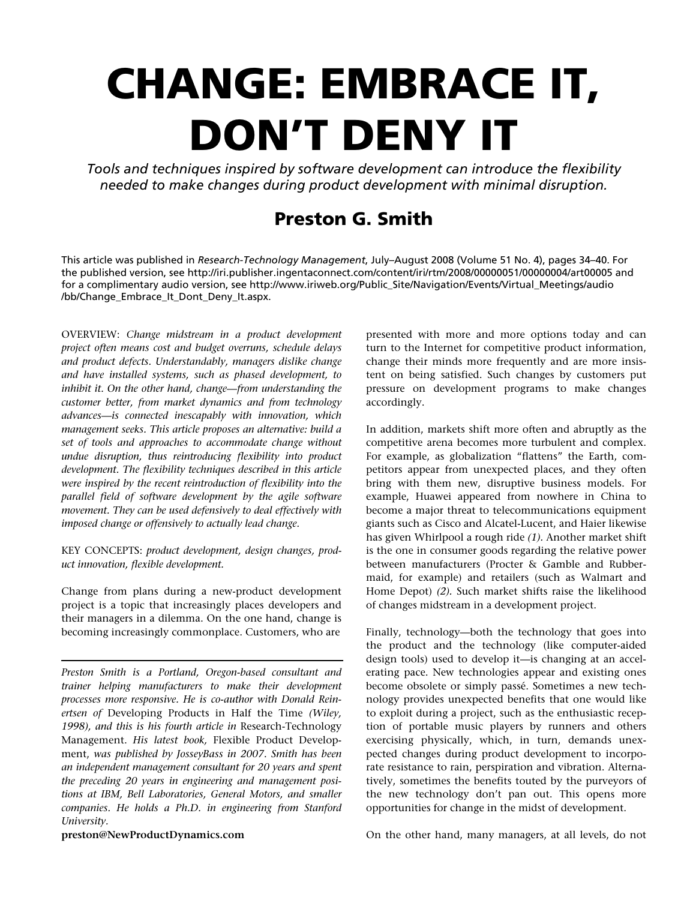# **CHANGE: EMBRACE IT, DON'T DENY IT**

*Tools and techniques inspired by software development can introduce the flexibility needed to make changes during product development with minimal disruption.* 

# **Preston G. Smith**

This article was published in *Research-Technology Management*, July–August 2008 (Volume 51 No. 4), pages 34–40. For the published version, see http://iri.publisher.ingentaconnect.com/content/iri/rtm/2008/00000051/00000004/art00005 and for a complimentary audio version, see http://www.iriweb.org/Public\_Site/Navigation/Events/Virtual\_Meetings/audio /bb/Change\_Embrace\_It\_Dont\_Deny\_It.aspx.

OVERVIEW: *Change midstream in a product development project often means cost and budget overruns, schedule delays and product defects. Understandably, managers dislike change and have installed systems, such as phased development, to inhibit it. On the other hand, change—from understanding the customer better, from market dynamics and from technology advances—is connected inescapably with innovation, which management seeks. This article proposes an alternative: build a set of tools and approaches to accommodate change without undue disruption, thus reintroducing flexibility into product development. The flexibility techniques described in this article were inspired by the recent reintroduction of flexibility into the parallel field of software development by the agile software movement. They can be used defensively to deal effectively with imposed change or offensively to actually lead change.* 

KEY CONCEPTS: *product development, design changes, product innovation, flexible development.* 

Change from plans during a new-product development project is a topic that increasingly places developers and their managers in a dilemma. On the one hand, change is becoming increasingly commonplace. Customers, who are

*Preston Smith is a Portland, Oregon-based consultant and trainer helping manufacturers to make their development processes more responsive. He is co-author with Donald Reinertsen of* Developing Products in Half the Time *(Wiley, 1998), and this is his fourth article in* Research-Technology Management. *His latest book,* Flexible Product Development, *was published by JosseyBass in 2007. Smith has been an independent management consultant for 20 years and spent the preceding 20 years in engineering and management positions at IBM, Bell Laboratories, General Motors, and smaller companies. He holds a Ph.D. in engineering from Stanford University.* 

**preston@NewProductDynamics.com** 

presented with more and more options today and can turn to the Internet for competitive product information, change their minds more frequently and are more insistent on being satisfied. Such changes by customers put pressure on development programs to make changes accordingly.

In addition, markets shift more often and abruptly as the competitive arena becomes more turbulent and complex. For example, as globalization "flattens" the Earth, competitors appear from unexpected places, and they often bring with them new, disruptive business models. For example, Huawei appeared from nowhere in China to become a major threat to telecommunications equipment giants such as Cisco and Alcatel-Lucent, and Haier likewise has given Whirlpool a rough ride *(1).* Another market shift is the one in consumer goods regarding the relative power between manufacturers (Procter & Gamble and Rubbermaid, for example) and retailers (such as Walmart and Home Depot) *(2).* Such market shifts raise the likelihood of changes midstream in a development project.

Finally, technology—both the technology that goes into the product and the technology (like computer-aided design tools) used to develop it—is changing at an accelerating pace. New technologies appear and existing ones become obsolete or simply passé. Sometimes a new technology provides unexpected benefits that one would like to exploit during a project, such as the enthusiastic reception of portable music players by runners and others exercising physically, which, in turn, demands unexpected changes during product development to incorporate resistance to rain, perspiration and vibration. Alternatively, sometimes the benefits touted by the purveyors of the new technology don't pan out. This opens more opportunities for change in the midst of development.

On the other hand, many managers, at all levels, do not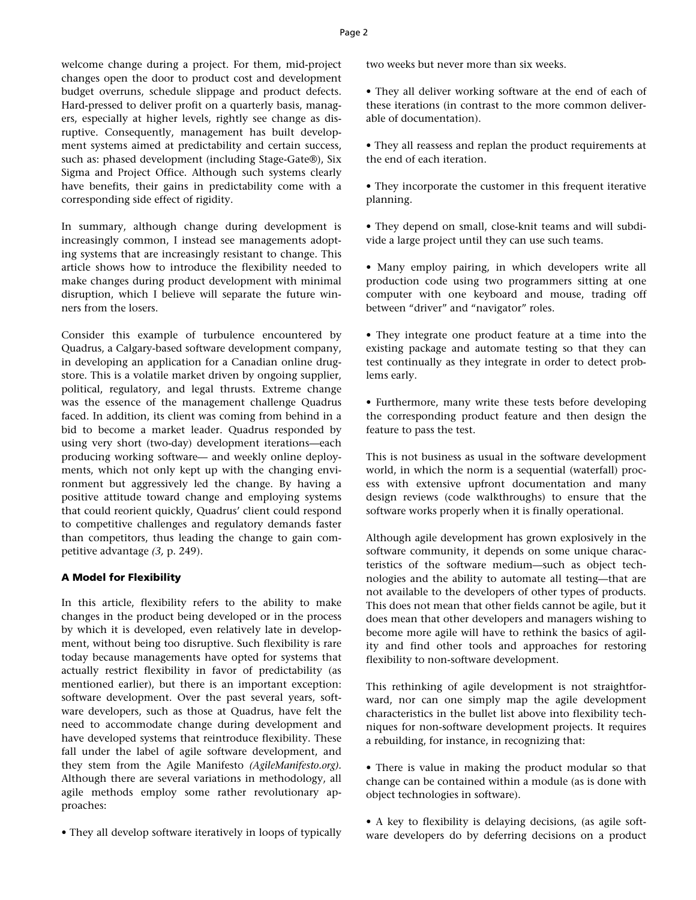welcome change during a project. For them, mid-project changes open the door to product cost and development budget overruns, schedule slippage and product defects. Hard-pressed to deliver profit on a quarterly basis, managers, especially at higher levels, rightly see change as disruptive. Consequently, management has built development systems aimed at predictability and certain success, such as: phased development (including Stage-Gate®), Six Sigma and Project Office. Although such systems clearly have benefits, their gains in predictability come with a corresponding side effect of rigidity.

In summary, although change during development is increasingly common, I instead see managements adopting systems that are increasingly resistant to change. This article shows how to introduce the flexibility needed to make changes during product development with minimal disruption, which I believe will separate the future winners from the losers.

Consider this example of turbulence encountered by Quadrus, a Calgary-based software development company, in developing an application for a Canadian online drugstore. This is a volatile market driven by ongoing supplier, political, regulatory, and legal thrusts. Extreme change was the essence of the management challenge Quadrus faced. In addition, its client was coming from behind in a bid to become a market leader. Quadrus responded by using very short (two-day) development iterations—each producing working software— and weekly online deployments, which not only kept up with the changing environment but aggressively led the change. By having a positive attitude toward change and employing systems that could reorient quickly, Quadrus' client could respond to competitive challenges and regulatory demands faster than competitors, thus leading the change to gain competitive advantage *(3,* p. 249).

### **A Model for Flexibility**

In this article, flexibility refers to the ability to make changes in the product being developed or in the process by which it is developed, even relatively late in development, without being too disruptive. Such flexibility is rare today because managements have opted for systems that actually restrict flexibility in favor of predictability (as mentioned earlier), but there is an important exception: software development. Over the past several years, software developers, such as those at Quadrus, have felt the need to accommodate change during development and have developed systems that reintroduce flexibility. These fall under the label of agile software development, and they stem from the Agile Manifesto *(AgileManifesto.org).*  Although there are several variations in methodology, all agile methods employ some rather revolutionary approaches:

• They all develop software iteratively in loops of typically

two weeks but never more than six weeks.

- They all deliver working software at the end of each of these iterations (in contrast to the more common deliverable of documentation).
- They all reassess and replan the product requirements at the end of each iteration.
- They incorporate the customer in this frequent iterative planning.
- They depend on small, close-knit teams and will subdivide a large project until they can use such teams.
- Many employ pairing, in which developers write all production code using two programmers sitting at one computer with one keyboard and mouse, trading off between "driver" and "navigator" roles.
- They integrate one product feature at a time into the existing package and automate testing so that they can test continually as they integrate in order to detect problems early.
- Furthermore, many write these tests before developing the corresponding product feature and then design the feature to pass the test.

This is not business as usual in the software development world, in which the norm is a sequential (waterfall) process with extensive upfront documentation and many design reviews (code walkthroughs) to ensure that the software works properly when it is finally operational.

Although agile development has grown explosively in the software community, it depends on some unique characteristics of the software medium—such as object technologies and the ability to automate all testing—that are not available to the developers of other types of products. This does not mean that other fields cannot be agile, but it does mean that other developers and managers wishing to become more agile will have to rethink the basics of agility and find other tools and approaches for restoring flexibility to non-software development.

This rethinking of agile development is not straightforward, nor can one simply map the agile development characteristics in the bullet list above into flexibility techniques for non-software development projects. It requires a rebuilding, for instance, in recognizing that:

- There is value in making the product modular so that change can be contained within a module (as is done with object technologies in software).
- A key to flexibility is delaying decisions, (as agile software developers do by deferring decisions on a product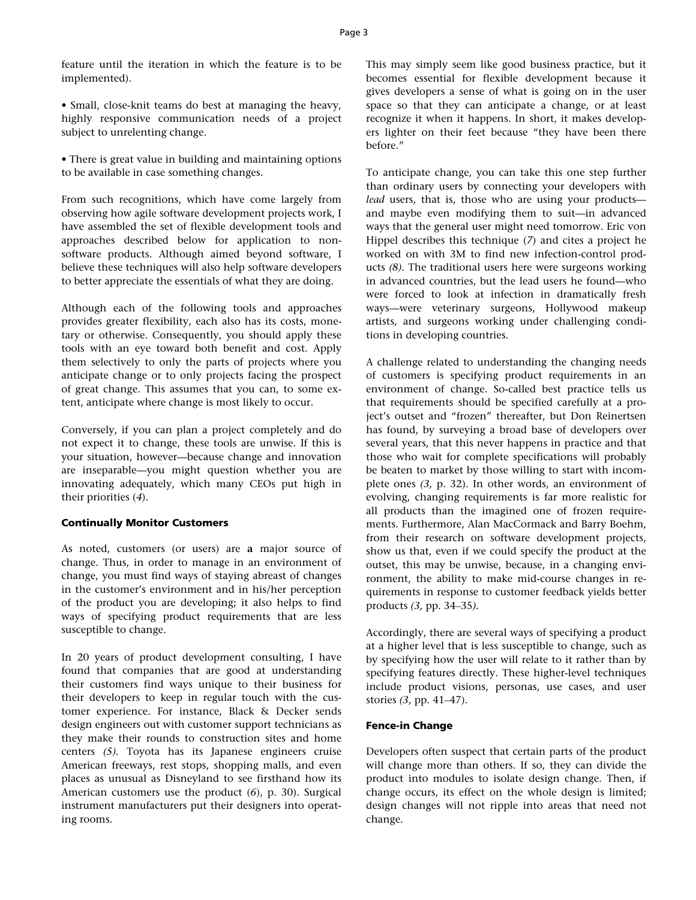feature until the iteration in which the feature is to be implemented).

• Small, close-knit teams do best at managing the heavy, highly responsive communication needs of a project subject to unrelenting change.

• There is great value in building and maintaining options to be available in case something changes.

From such recognitions, which have come largely from observing how agile software development projects work, I have assembled the set of flexible development tools and approaches described below for application to nonsoftware products. Although aimed beyond software, I believe these techniques will also help software developers to better appreciate the essentials of what they are doing.

Although each of the following tools and approaches provides greater flexibility, each also has its costs, monetary or otherwise. Consequently, you should apply these tools with an eye toward both benefit and cost. Apply them selectively to only the parts of projects where you anticipate change or to only projects facing the prospect of great change. This assumes that you can, to some extent, anticipate where change is most likely to occur.

Conversely, if you can plan a project completely and do not expect it to change, these tools are unwise. If this is your situation, however—because change and innovation are inseparable—you might question whether you are innovating adequately, which many CEOs put high in their priorities (*4*).

# **Continually Monitor Customers**

As noted, customers (or users) are **a** major source of change. Thus, in order to manage in an environment of change, you must find ways of staying abreast of changes in the customer's environment and in his/her perception of the product you are developing; it also helps to find ways of specifying product requirements that are less susceptible to change.

In 20 years of product development consulting, I have found that companies that are good at understanding their customers find ways unique to their business for their developers to keep in regular touch with the customer experience. For instance, Black & Decker sends design engineers out with customer support technicians as they make their rounds to construction sites and home centers *(5).* Toyota has its Japanese engineers cruise American freeways, rest stops, shopping malls, and even places as unusual as Disneyland to see firsthand how its American customers use the product (*6*), p. 30). Surgical instrument manufacturers put their designers into operating rooms.

This may simply seem like good business practice, but it becomes essential for flexible development because it gives developers a sense of what is going on in the user space so that they can anticipate a change, or at least recognize it when it happens. In short, it makes developers lighter on their feet because "they have been there before."

To anticipate change, you can take this one step further than ordinary users by connecting your developers with *lead* users, that is, those who are using your products and maybe even modifying them to suit—in advanced ways that the general user might need tomorrow. Eric von Hippel describes this technique (*7*) and cites a project he worked on with 3M to find new infection-control products *(8).* The traditional users here were surgeons working in advanced countries, but the lead users he found—who were forced to look at infection in dramatically fresh ways—were veterinary surgeons, Hollywood makeup artists, and surgeons working under challenging conditions in developing countries.

A challenge related to understanding the changing needs of customers is specifying product requirements in an environment of change. So-called best practice tells us that requirements should be specified carefully at a project's outset and "frozen" thereafter, but Don Reinertsen has found, by surveying a broad base of developers over several years, that this never happens in practice and that those who wait for complete specifications will probably be beaten to market by those willing to start with incomplete ones *(3,* p. 32). In other words, an environment of evolving, changing requirements is far more realistic for all products than the imagined one of frozen requirements. Furthermore, Alan MacCormack and Barry Boehm, from their research on software development projects, show us that, even if we could specify the product at the outset, this may be unwise, because, in a changing environment, the ability to make mid-course changes in requirements in response to customer feedback yields better products *(3,* pp. 34–35*).*

Accordingly, there are several ways of specifying a product at a higher level that is less susceptible to change, such as by specifying how the user will relate to it rather than by specifying features directly. These higher-level techniques include product visions, personas, use cases, and user stories *(3,* pp. 41–47).

# **Fence-in Change**

Developers often suspect that certain parts of the product will change more than others. If so, they can divide the product into modules to isolate design change. Then, if change occurs, its effect on the whole design is limited; design changes will not ripple into areas that need not change.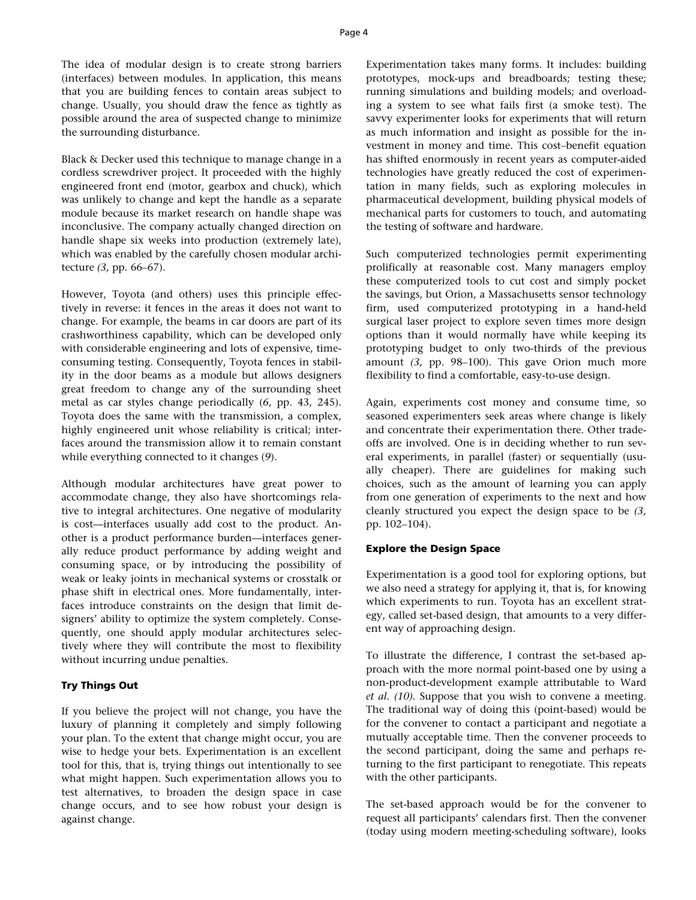The idea of modular design is to create strong barriers (interfaces) between modules. In application, this means that you are building fences to contain areas subject to change. Usually, you should draw the fence as tightly as possible around the area of suspected change to minimize the surrounding disturbance.

Black & Decker used this technique to manage change in a cordless screwdriver project. It proceeded with the highly engineered front end (motor, gearbox and chuck), which was unlikely to change and kept the handle as a separate module because its market research on handle shape was inconclusive. The company actually changed direction on handle shape six weeks into production (extremely late), which was enabled by the carefully chosen modular architecture *(3,* pp. 66–67).

However, Toyota (and others) uses this principle effectively in reverse: it fences in the areas it does not want to change. For example, the beams in car doors are part of its crashworthiness capability, which can be developed only with considerable engineering and lots of expensive, timeconsuming testing. Consequently, Toyota fences in stability in the door beams as a module but allows designers great freedom to change any of the surrounding sheet metal as car styles change periodically (*6*, pp. 43, 245)*.*  Toyota does the same with the transmission, a complex, highly engineered unit whose reliability is critical; interfaces around the transmission allow it to remain constant while everything connected to it changes (*9*).

Although modular architectures have great power to accommodate change, they also have shortcomings relative to integral architectures. One negative of modularity is cost—interfaces usually add cost to the product. Another is a product performance burden—interfaces generally reduce product performance by adding weight and consuming space, or by introducing the possibility of weak or leaky joints in mechanical systems or crosstalk or phase shift in electrical ones. More fundamentally, interfaces introduce constraints on the design that limit designers' ability to optimize the system completely. Consequently, one should apply modular architectures selectively where they will contribute the most to flexibility without incurring undue penalties.

# **Try Things Out**

If you believe the project will not change, you have the luxury of planning it completely and simply following your plan. To the extent that change might occur, you are wise to hedge your bets. Experimentation is an excellent tool for this, that is, trying things out intentionally to see what might happen. Such experimentation allows you to test alternatives, to broaden the design space in case change occurs, and to see how robust your design is against change.

Experimentation takes many forms. It includes: building prototypes, mock-ups and breadboards; testing these; running simulations and building models; and overloading a system to see what fails first (a smoke test). The savvy experimenter looks for experiments that will return as much information and insight as possible for the investment in money and time. This cost–benefit equation has shifted enormously in recent years as computer-aided technologies have greatly reduced the cost of experimentation in many fields, such as exploring molecules in pharmaceutical development, building physical models of mechanical parts for customers to touch, and automating the testing of software and hardware.

Such computerized technologies permit experimenting prolifically at reasonable cost. Many managers employ these computerized tools to cut cost and simply pocket the savings, but Orion, a Massachusetts sensor technology firm, used computerized prototyping in a hand-held surgical laser project to explore seven times more design options than it would normally have while keeping its prototyping budget to only two-thirds of the previous amount *(3,* pp. 98–100). This gave Orion much more flexibility to find a comfortable, easy-to-use design.

Again, experiments cost money and consume time, so seasoned experimenters seek areas where change is likely and concentrate their experimentation there. Other tradeoffs are involved. One is in deciding whether to run several experiments, in parallel (faster) or sequentially (usually cheaper). There are guidelines for making such choices, such as the amount of learning you can apply from one generation of experiments to the next and how cleanly structured you expect the design space to be *(3,*  pp. 102–104).

# **Explore the Design Space**

Experimentation is a good tool for exploring options, but we also need a strategy for applying it, that is, for knowing which experiments to run. Toyota has an excellent strategy, called set-based design, that amounts to a very different way of approaching design.

To illustrate the difference, I contrast the set-based approach with the more normal point-based one by using a non-product-development example attributable to Ward *et al. (10).* Suppose that you wish to convene a meeting. The traditional way of doing this (point-based) would be for the convener to contact a participant and negotiate a mutually acceptable time. Then the convener proceeds to the second participant, doing the same and perhaps returning to the first participant to renegotiate. This repeats with the other participants.

The set-based approach would be for the convener to request all participants' calendars first. Then the convener (today using modern meeting-scheduling software), looks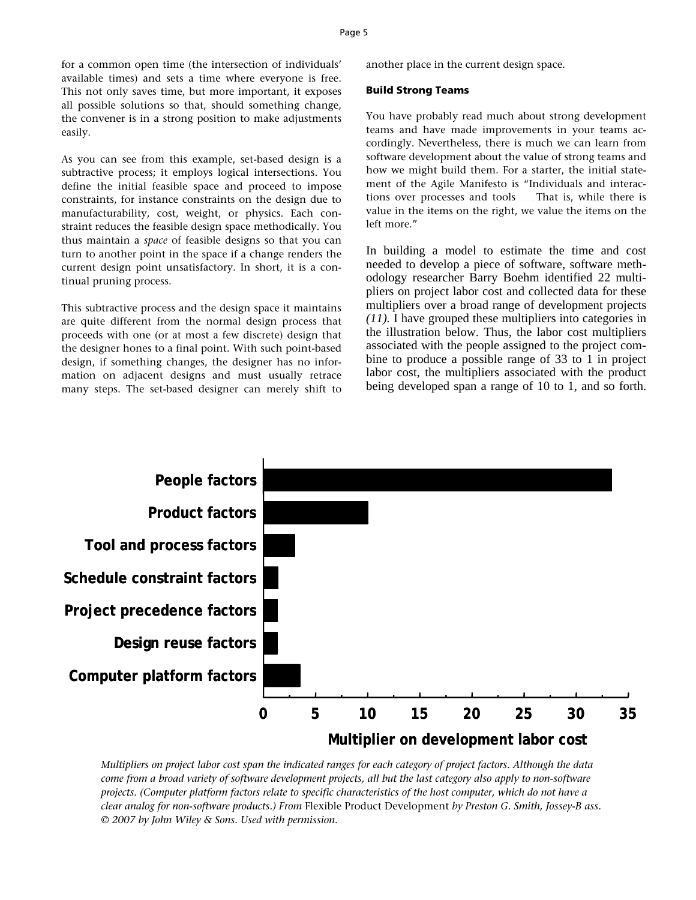for a common open time (the intersection of individuals' available times) and sets a time where everyone is free. This not only saves time, but more important, it exposes all possible solutions so that, should something change, the convener is in a strong position to make adjustments easily.

As you can see from this example, set-based design is a subtractive process; it employs logical intersections. You define the initial feasible space and proceed to impose constraints, for instance constraints on the design due to manufacturability, cost, weight, or physics. Each constraint reduces the feasible design space methodically. You thus maintain a *space* of feasible designs so that you can turn to another point in the space if a change renders the current design point unsatisfactory. In short, it is a continual pruning process.

This subtractive process and the design space it maintains are quite different from the normal design process that proceeds with one (or at most a few discrete) design that the designer hones to a final point. With such point-based design, if something changes, the designer has no information on adjacent designs and must usually retrace many steps. The set-based designer can merely shift to another place in the current design space.

#### **Build Strong Teams**

You have probably read much about strong development teams and have made improvements in your teams accordingly. Nevertheless, there is much we can learn from software development about the value of strong teams and how we might build them. For a starter, the initial statement of the Agile Manifesto is "Individuals and interactions over processes and tools . . . . That is, while there is value in the items on the right, we value the items on the left more."

In building a model to estimate the time and cost needed to develop a piece of software, software methodology researcher Barry Boehm identified 22 multipliers on project labor cost and collected data for these multipliers over a broad range of development projects *(11).* I have grouped these multipliers into categories in the illustration below. Thus, the labor cost multipliers associated with the people assigned to the project combine to produce a possible range of 33 to 1 in project labor cost, the multipliers associated with the product being developed span a range of 10 to 1, and so forth.



*Multipliers on project labor cost span the indicated ranges for each category of project factors. Although the data come from a broad variety of software development projects, all but the last category also apply to non-software projects. (Computer platform factors relate to specific characteristics of the host computer, which do not have a clear analog for non-software products.) From* Flexible Product Development *by Preston G. Smith, Jossey-B ass. © 2007 by John Wiley & Sons. Used with permission.*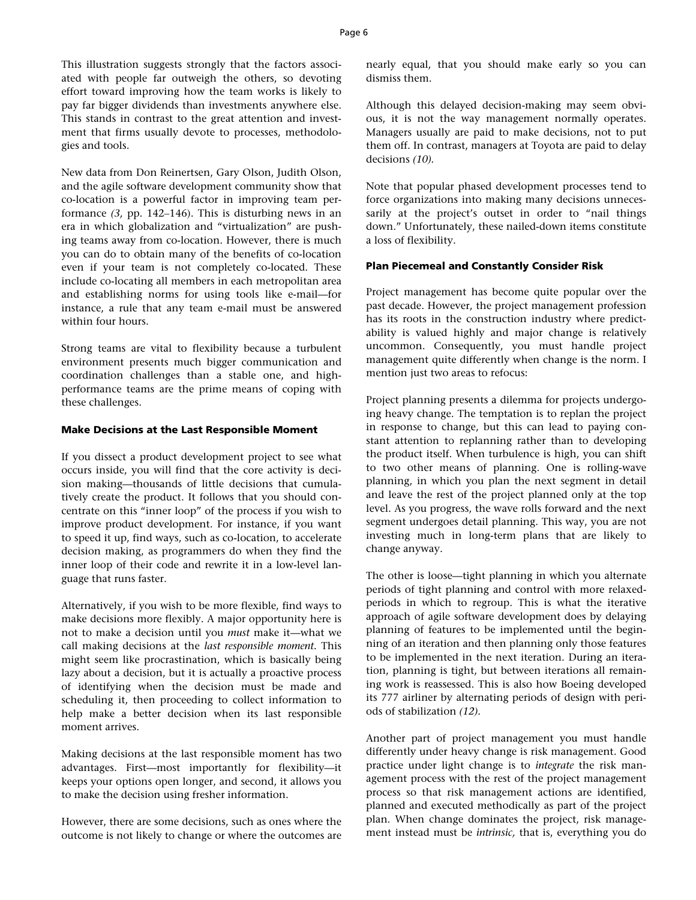This illustration suggests strongly that the factors associated with people far outweigh the others, so devoting effort toward improving how the team works is likely to pay far bigger dividends than investments anywhere else. This stands in contrast to the great attention and investment that firms usually devote to processes, methodologies and tools.

New data from Don Reinertsen, Gary Olson, Judith Olson, and the agile software development community show that co-location is a powerful factor in improving team performance *(3,* pp. 142–146). This is disturbing news in an era in which globalization and "virtualization" are pushing teams away from co-location. However, there is much you can do to obtain many of the benefits of co-location even if your team is not completely co-located. These include co-locating all members in each metropolitan area and establishing norms for using tools like e-mail—for instance, a rule that any team e-mail must be answered within four hours.

Strong teams are vital to flexibility because a turbulent environment presents much bigger communication and coordination challenges than a stable one, and highperformance teams are the prime means of coping with these challenges.

### **Make Decisions at the Last Responsible Moment**

If you dissect a product development project to see what occurs inside, you will find that the core activity is decision making—thousands of little decisions that cumulatively create the product. It follows that you should concentrate on this "inner loop" of the process if you wish to improve product development. For instance, if you want to speed it up, find ways, such as co-location, to accelerate decision making, as programmers do when they find the inner loop of their code and rewrite it in a low-level language that runs faster.

Alternatively, if you wish to be more flexible, find ways to make decisions more flexibly. A major opportunity here is not to make a decision until you *must* make it—what we call making decisions at the *last responsible moment.* This might seem like procrastination, which is basically being lazy about a decision, but it is actually a proactive process of identifying when the decision must be made and scheduling it, then proceeding to collect information to help make a better decision when its last responsible moment arrives.

Making decisions at the last responsible moment has two advantages. First—most importantly for flexibility—it keeps your options open longer, and second, it allows you to make the decision using fresher information.

However, there are some decisions, such as ones where the outcome is not likely to change or where the outcomes are nearly equal, that you should make early so you can dismiss them.

Although this delayed decision-making may seem obvious, it is not the way management normally operates. Managers usually are paid to make decisions, not to put them off. In contrast, managers at Toyota are paid to delay decisions *(10).* 

Note that popular phased development processes tend to force organizations into making many decisions unnecessarily at the project's outset in order to "nail things down." Unfortunately, these nailed-down items constitute a loss of flexibility.

#### **Plan Piecemeal and Constantly Consider Risk**

Project management has become quite popular over the past decade. However, the project management profession has its roots in the construction industry where predictability is valued highly and major change is relatively uncommon. Consequently, you must handle project management quite differently when change is the norm. I mention just two areas to refocus:

Project planning presents a dilemma for projects undergoing heavy change. The temptation is to replan the project in response to change, but this can lead to paying constant attention to replanning rather than to developing the product itself. When turbulence is high, you can shift to two other means of planning. One is rolling-wave planning, in which you plan the next segment in detail and leave the rest of the project planned only at the top level. As you progress, the wave rolls forward and the next segment undergoes detail planning. This way, you are not investing much in long-term plans that are likely to change anyway.

The other is loose—tight planning in which you alternate periods of tight planning and control with more relaxedperiods in which to regroup. This is what the iterative approach of agile software development does by delaying planning of features to be implemented until the beginning of an iteration and then planning only those features to be implemented in the next iteration. During an iteration, planning is tight, but between iterations all remaining work is reassessed. This is also how Boeing developed its 777 airliner by alternating periods of design with periods of stabilization *(12).* 

Another part of project management you must handle differently under heavy change is risk management. Good practice under light change is to *integrate* the risk management process with the rest of the project management process so that risk management actions are identified, planned and executed methodically as part of the project plan. When change dominates the project, risk management instead must be *intrinsic,* that is, everything you do